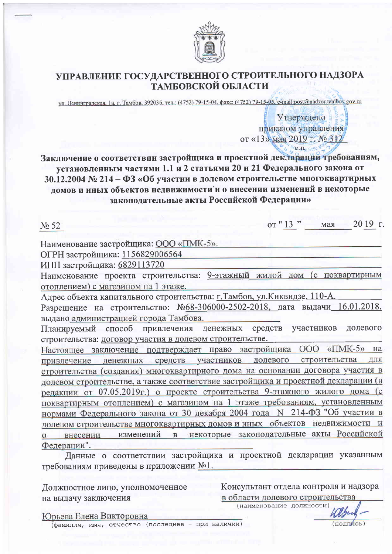

# УПРАВЛЕНИЕ ГОСУДАРСТВЕННОГО СТРОИТЕЛЬНОГО НАДЗОРА<br>ТАМБОВСКОЙ ОБЛАСТИ

ул. Ленинградская, 1а, г. Тамбов, 392036, тел.: (4752) 79-15-04, факс: (4752) 79-15-05, e-mail:post@nadzor.tambov.gov.ru

Утверждено приказом управления от «13» мая 2019 г. № 312  $M.\overline{H}$ 

Заключение о соответствии застройщика и проектной декларации требованиям, установленным частями 1.1 и 2 статьями 20 и 21 Федерального закона от 30.12.2004 № 214 - ФЗ «Об участии в долевом строительстве многоквартирных домов и иных объектов недвижимости и о внесении изменений в некоторые законодательные акты Российской Федерации»

от "13" 2019 г. мая  $\mathbb{N}^{\circ}$  52 Наименование застройщика: ООО «ПМК-5». ОГРН застройщика: 1156829006564 ИНН застройщика: 6829113720 Наименование проекта строительства: 9-этажный жилой дом (с поквартирным отоплением) с магазином на 1 этаже. Адрес объекта капитального строительства: г. Тамбов, ул. Киквидзе, 110-А. Разрешение на строительство: №68-306000-2502-2018, дата выдачи 16.01.2018, выдано администрацией города Тамбова. Планируемый способ привлечения денежных участников средств долевого строительства: договор участия в долевом строительстве. Настоящее заключение подтверждает право застройщика ООО «ПМК-5» на привлечение денежных средств участников долевого строительства для строительства (создания) многоквартирного дома на основании договора участия в долевом строительстве, а также соответствие застройщика и проектной декларации (в редакции от 07.05.2019г.) о проекте строительства 9-этажного жилого дома (с поквартирным отоплением) с магазином на 1 этаже требованиям, установленным нормами Федерального закона от 30 декабря 2004 года N 214-ФЗ "Об участии в долевом строительстве многоквартирных домов и иных объектов недвижимости и о внесении изменений в некоторые законодательные акты Российской Федерации". Данные о соответствии застройщика и проектной декларации указанным

требованиям приведены в приложении №1.

Должностное лицо, уполномоченное на выдачу заключения

Консультант отдела контроля и надзора в области долевого строительства

**ПОЛЛИСЬ** 

(наименование должности)

Юрьева Елена Викторовна

(фамилия, имя, отчество (последнее - при наличии)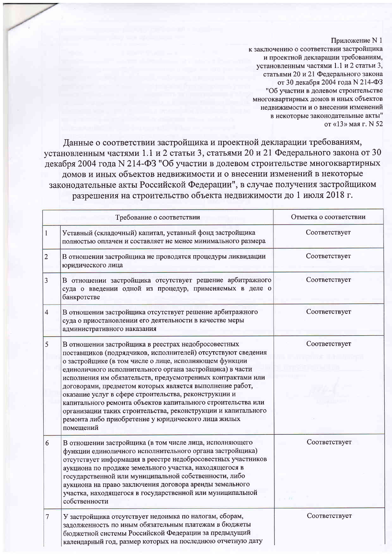#### Приложение N 1

к заключению о соответствии застройщика и проектной декларации требованиям, установленным частями 1.1 и 2 статьи 3, статьями 20 и 21 Федерального закона от 30 декабря 2004 года N 214-ФЗ "Об участии в долевом строительстве многоквартирных домов и иных объектов недвижимости и о внесении изменений в некоторые законодательные акты" от «13» мая г. N 52

Данные о соответствии застройщика и проектной декларации требованиям, установленным частями 1.1 и 2 статьи 3, статьями 20 и 21 Федерального закона от 30 декабря 2004 года N 214-ФЗ "Об участии в долевом строительстве многоквартирных домов и иных объектов недвижимости и о внесении изменений в некоторые законодательные акты Российской Федерации", в случае получения застройщиком разрешения на строительство объекта недвижимости до 1 июля 2018 г.

| Требование о соответствии |                                                                                                                                                                                                                                                                                                                                                                                                                                                                                                                                                                                                                                    | Отметка о соответствии |
|---------------------------|------------------------------------------------------------------------------------------------------------------------------------------------------------------------------------------------------------------------------------------------------------------------------------------------------------------------------------------------------------------------------------------------------------------------------------------------------------------------------------------------------------------------------------------------------------------------------------------------------------------------------------|------------------------|
| $\mathbf{1}$              | Уставный (складочный) капитал, уставный фонд застройщика<br>полностью оплачен и составляет не менее минимального размера                                                                                                                                                                                                                                                                                                                                                                                                                                                                                                           | Соответствует          |
| $\overline{2}$            | В отношении застройщика не проводятся процедуры ликвидации<br>юридического лица                                                                                                                                                                                                                                                                                                                                                                                                                                                                                                                                                    | Соответствует          |
| 3                         | В отношении застройщика отсутствует решение арбитражного<br>суда о введении одной из процедур, применяемых в деле о<br>банкротстве                                                                                                                                                                                                                                                                                                                                                                                                                                                                                                 | Соответствует          |
| 4                         | В отношении застройщика отсутствует решение арбитражного<br>суда о приостановлении его деятельности в качестве меры<br>административного наказания                                                                                                                                                                                                                                                                                                                                                                                                                                                                                 | Соответствует          |
| 5                         | В отношении застройщика в реестрах недобросовестных<br>поставщиков (подрядчиков, исполнителей) отсутствуют сведения<br>о застройщике (в том числе о лице, исполняющем функции<br>единоличного исполнительного органа застройщика) в части<br>исполнения им обязательств, предусмотренных контрактами или<br>договорами, предметом которых является выполнение работ,<br>оказание услуг в сфере строительства, реконструкции и<br>капитального ремонта объектов капитального строительства или<br>организации таких строительства, реконструкции и капитального<br>ремонта либо приобретение у юридического лица жилых<br>помещений | Соответствует          |
| 6                         | В отношении застройщика (в том числе лица, исполняющего<br>функции единоличного исполнительного органа застройщика)<br>отсутствует информация в реестре недобросовестных участников<br>аукциона по продаже земельного участка, находящегося в<br>государственной или муниципальной собственности, либо<br>аукциона на право заключения договора аренды земельного<br>участка, находящегося в государственной или муниципальной<br>собственности                                                                                                                                                                                    | Соответствует          |
| $\tau$                    | У застройщика отсутствует недоимка по налогам, сборам,<br>задолженность по иным обязательным платежам в бюджеты<br>бюджетной системы Российской Федерации за предыдущий<br>календарный год, размер которых на последнюю отчетную дату                                                                                                                                                                                                                                                                                                                                                                                              | Соответствует          |